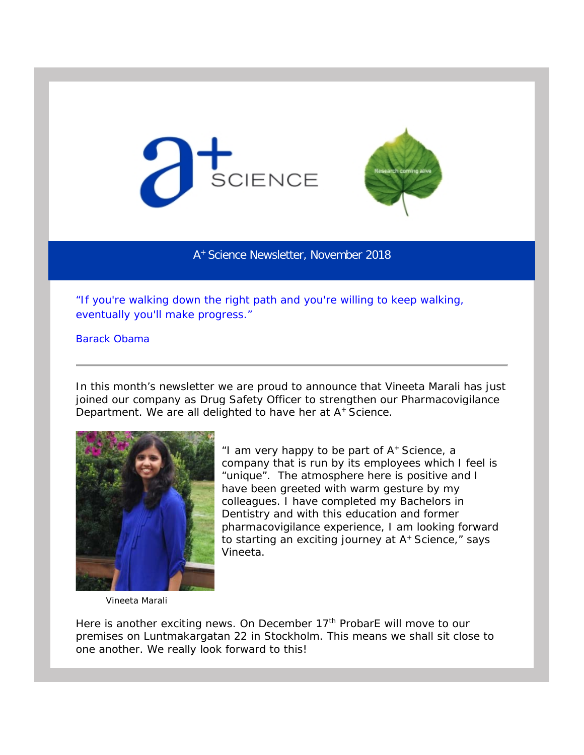



A+ Science Newsletter, November 2018

*"If you're walking down the right path and you're willing to keep walking, eventually you'll make progress."*

Barack Obama

In this month's newsletter we are proud to announce that Vineeta Marali has just joined our company as Drug Safety Officer to strengthen our Pharmacovigilance Department. We are all delighted to have her at A<sup>+</sup> Science.



*"I am very happy to be part of A+ Science, a company that is run by its employees which I feel is "unique". The atmosphere here is positive and I have been greeted with warm gesture by my colleagues. I have completed my Bachelors in Dentistry and with this education and former pharmacovigilance experience, I am looking forward to starting an exciting journey at A+ Science,"* says Vineeta.

Vineeta Marali

Here is another exciting news. On December 17<sup>th</sup> ProbarE will move to our premises on Luntmakargatan 22 in Stockholm. This means we shall sit close to one another. We really look forward to this!